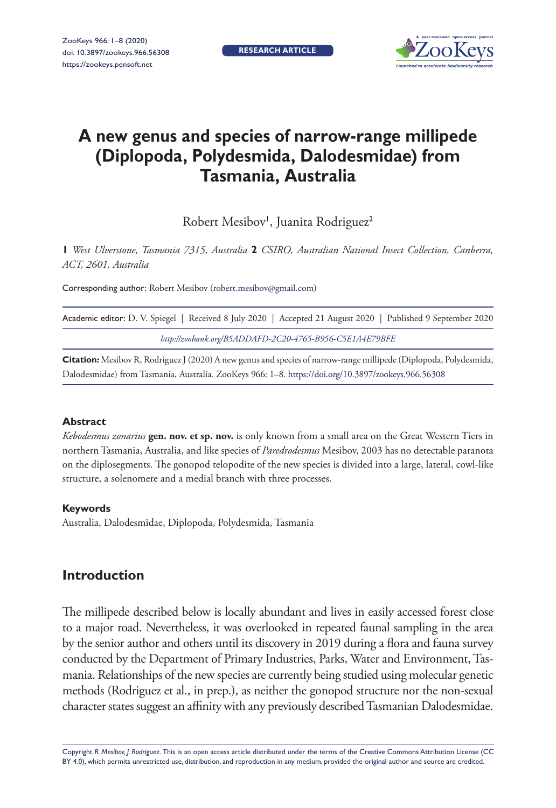**research article**



# **A new genus and species of narrow-range millipede (Diplopoda, Polydesmida, Dalodesmidae) from Tasmania, Australia**

Robert Mesibov<sup>1</sup>, Juanita Rodriguez<sup>2</sup>

**1** *West Ulverstone, Tasmania 7315, Australia* **2** *CSIRO, Australian National Insect Collection, Canberra, ACT, 2601, Australia*

Corresponding author: Robert Mesibov [\(robert.mesibov@gmail.com](mailto:robert.mesibov@gmail.com))

| Academic editor: D. V. Spiegel   Received 8 July 2020   Accepted 21 August 2020   Published 9 September 2020 |
|--------------------------------------------------------------------------------------------------------------|
| http://zoobank.org/B5ADDAFD-2C20-4765-B956-C5E1A4E79BFE                                                      |

**Citation:** Mesibov R, Rodriguez J (2020) A new genus and species of narrow-range millipede (Diplopoda, Polydesmida, Dalodesmidae) from Tasmania, Australia. ZooKeys 966: 1–8. <https://doi.org/10.3897/zookeys.966.56308>

#### **Abstract**

*Kebodesmus zonarius* **gen. nov. et sp. nov.** is only known from a small area on the Great Western Tiers in northern Tasmania, Australia, and like species of *Paredrodesmus* Mesibov, 2003 has no detectable paranota on the diplosegments. The gonopod telopodite of the new species is divided into a large, lateral, cowl-like structure, a solenomere and a medial branch with three processes.

#### **Keywords**

Australia, Dalodesmidae, Diplopoda, Polydesmida, Tasmania

# **Introduction**

The millipede described below is locally abundant and lives in easily accessed forest close to a major road. Nevertheless, it was overlooked in repeated faunal sampling in the area by the senior author and others until its discovery in 2019 during a flora and fauna survey conducted by the Department of Primary Industries, Parks, Water and Environment, Tasmania. Relationships of the new species are currently being studied using molecular genetic methods (Rodriguez et al., in prep.), as neither the gonopod structure nor the non-sexual character states suggest an affinity with any previously described Tasmanian Dalodesmidae.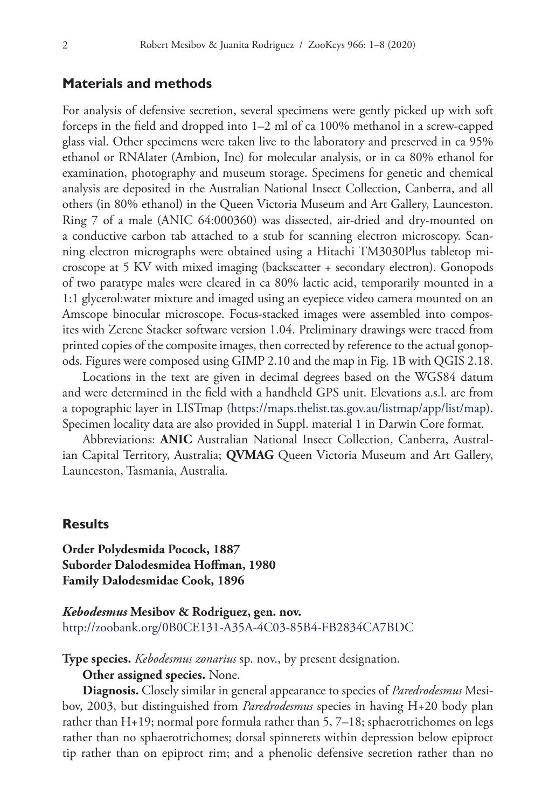## **Materials and methods**

For analysis of defensive secretion, several specimens were gently picked up with soft forceps in the field and dropped into 1–2 ml of ca 100% methanol in a screw-capped glass vial. Other specimens were taken live to the laboratory and preserved in ca 95% ethanol or RNAlater (Ambion, Inc) for molecular analysis, or in ca 80% ethanol for examination, photography and museum storage. Specimens for genetic and chemical analysis are deposited in the Australian National Insect Collection, Canberra, and all others (in 80% ethanol) in the Queen Victoria Museum and Art Gallery, Launceston. Ring 7 of a male (ANIC 64:000360) was dissected, air-dried and dry-mounted on a conductive carbon tab attached to a stub for scanning electron microscopy. Scanning electron micrographs were obtained using a Hitachi TM3030Plus tabletop microscope at 5 KV with mixed imaging (backscatter + secondary electron). Gonopods of two paratype males were cleared in ca 80% lactic acid, temporarily mounted in a 1:1 glycerol:water mixture and imaged using an eyepiece video camera mounted on an Amscope binocular microscope. Focus-stacked images were assembled into composites with Zerene Stacker software version 1.04. Preliminary drawings were traced from printed copies of the composite images, then corrected by reference to the actual gonopods. Figures were composed using GIMP 2.10 and the map in Fig. 1B with QGIS 2.18.

Locations in the text are given in decimal degrees based on the WGS84 datum and were determined in the field with a handheld GPS unit. Elevations a.s.l. are from a topographic layer in LISTmap [\(https://maps.thelist.tas.gov.au/listmap/app/list/map](https://maps.thelist.tas.gov.au/listmap/app/list/map)). Specimen locality data are also provided in Suppl. material 1 in Darwin Core format.

Abbreviations: **ANIC** Australian National Insect Collection, Canberra, Australian Capital Territory, Australia; **QVMAG** Queen Victoria Museum and Art Gallery, Launceston, Tasmania, Australia.

## **Results**

**Order Polydesmida Pocock, 1887 Suborder Dalodesmidea Hoffman, 1980 Family Dalodesmidae Cook, 1896**

*Kebodesmus* **Mesibov & Rodriguez, gen. nov.** <http://zoobank.org/0B0CE131-A35A-4C03-85B4-FB2834CA7BDC>

**Type species.** *Kebodesmus zonarius* sp. nov., by present designation.

**Other assigned species.** None.

**Diagnosis.** Closely similar in general appearance to species of *Paredrodesmus* Mesibov, 2003, but distinguished from *Paredrodesmus* species in having H+20 body plan rather than H+19; normal pore formula rather than 5, 7–18; sphaerotrichomes on legs rather than no sphaerotrichomes; dorsal spinnerets within depression below epiproct tip rather than on epiproct rim; and a phenolic defensive secretion rather than no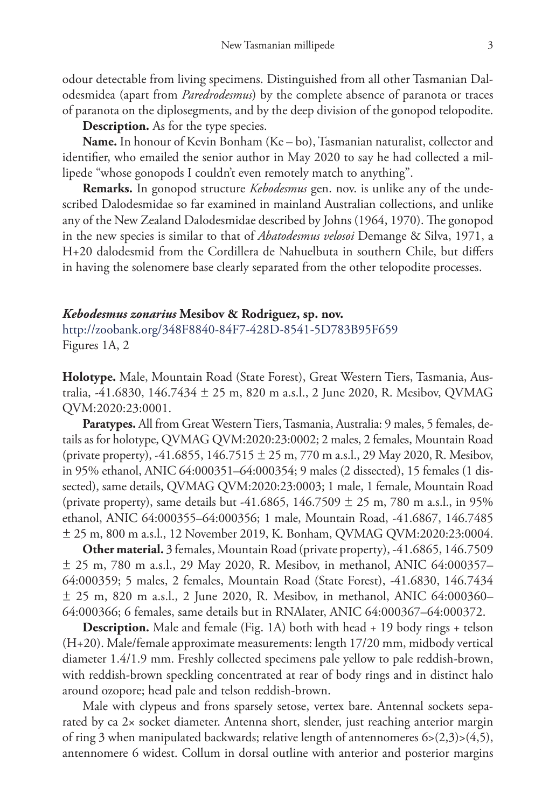odour detectable from living specimens. Distinguished from all other Tasmanian Dalodesmidea (apart from *Paredrodesmus*) by the complete absence of paranota or traces of paranota on the diplosegments, and by the deep division of the gonopod telopodite.

**Description.** As for the type species.

**Name.** In honour of Kevin Bonham (Ke – bo), Tasmanian naturalist, collector and identifier, who emailed the senior author in May 2020 to say he had collected a millipede "whose gonopods I couldn't even remotely match to anything".

**Remarks.** In gonopod structure *Kebodesmus* gen. nov. is unlike any of the undescribed Dalodesmidae so far examined in mainland Australian collections, and unlike any of the New Zealand Dalodesmidae described by Johns (1964, 1970). The gonopod in the new species is similar to that of *Abatodesmus velosoi* Demange & Silva, 1971, a H+20 dalodesmid from the Cordillera de Nahuelbuta in southern Chile, but differs in having the solenomere base clearly separated from the other telopodite processes.

#### *Kebodesmus zonarius* **Mesibov & Rodriguez, sp. nov.**

<http://zoobank.org/348F8840-84F7-428D-8541-5D783B95F659> Figures 1A, 2

**Holotype.** Male, Mountain Road (State Forest), Great Western Tiers, Tasmania, Australia, -41.6830, 146.7434 ± 25 m, 820 m a.s.l., 2 June 2020, R. Mesibov, QVMAG QVM:2020:23:0001.

**Paratypes.** All from Great Western Tiers, Tasmania, Australia: 9 males, 5 females, details as for holotype, QVMAG QVM:2020:23:0002; 2 males, 2 females, Mountain Road (private property), -41.6855,  $146.7515 \pm 25$  m, 770 m a.s.l., 29 May 2020, R. Mesibov, in 95% ethanol, ANIC 64:000351–64:000354; 9 males (2 dissected), 15 females (1 dissected), same details, QVMAG QVM:2020:23:0003; 1 male, 1 female, Mountain Road (private property), same details but -41.6865,  $146.7509 \pm 25$  m, 780 m a.s.l., in 95% ethanol, ANIC 64:000355–64:000356; 1 male, Mountain Road, -41.6867, 146.7485 ± 25 m, 800 m a.s.l., 12 November 2019, K. Bonham, QVMAG QVM:2020:23:0004.

**Other material.** 3 females, Mountain Road (private property), -41.6865, 146.7509  $\pm$  25 m, 780 m a.s.l., 29 May 2020, R. Mesibov, in methanol, ANIC 64:000357– 64:000359; 5 males, 2 females, Mountain Road (State Forest), -41.6830, 146.7434  $\pm$  25 m, 820 m a.s.l., 2 June 2020, R. Mesibov, in methanol, ANIC 64:000360– 64:000366; 6 females, same details but in RNAlater, ANIC 64:000367–64:000372.

**Description.** Male and female (Fig. 1A) both with head + 19 body rings + telson (H+20). Male/female approximate measurements: length 17/20 mm, midbody vertical diameter 1.4/1.9 mm. Freshly collected specimens pale yellow to pale reddish-brown, with reddish-brown speckling concentrated at rear of body rings and in distinct halo around ozopore; head pale and telson reddish-brown.

Male with clypeus and frons sparsely setose, vertex bare. Antennal sockets separated by ca 2× socket diameter. Antenna short, slender, just reaching anterior margin of ring 3 when manipulated backwards; relative length of antennomeres 6>(2,3)>(4,5), antennomere 6 widest. Collum in dorsal outline with anterior and posterior margins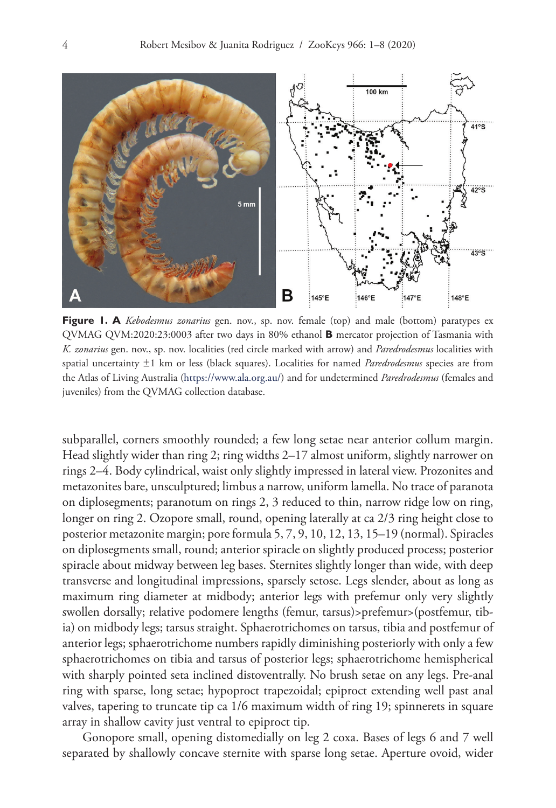

**Figure 1. A** *Kebodesmus zonarius* gen. nov., sp. nov. female (top) and male (bottom) paratypes ex QVMAG QVM:2020:23:0003 after two days in 80% ethanol **B** mercator projection of Tasmania with *K. zonarius* gen. nov., sp. nov. localities (red circle marked with arrow) and *Paredrodesmus* localities with spatial uncertainty ±1 km or less (black squares). Localities for named *Paredrodesmus* species are from the Atlas of Living Australia (<https://www.ala.org.au/>) and for undetermined *Paredrodesmus* (females and juveniles) from the QVMAG collection database.

subparallel, corners smoothly rounded; a few long setae near anterior collum margin. Head slightly wider than ring 2; ring widths 2–17 almost uniform, slightly narrower on rings 2–4. Body cylindrical, waist only slightly impressed in lateral view. Prozonites and metazonites bare, unsculptured; limbus a narrow, uniform lamella. No trace of paranota on diplosegments; paranotum on rings 2, 3 reduced to thin, narrow ridge low on ring, longer on ring 2. Ozopore small, round, opening laterally at ca 2/3 ring height close to posterior metazonite margin; pore formula 5, 7, 9, 10, 12, 13, 15–19 (normal). Spiracles on diplosegments small, round; anterior spiracle on slightly produced process; posterior spiracle about midway between leg bases. Sternites slightly longer than wide, with deep transverse and longitudinal impressions, sparsely setose. Legs slender, about as long as maximum ring diameter at midbody; anterior legs with prefemur only very slightly swollen dorsally; relative podomere lengths (femur, tarsus)>prefemur>(postfemur, tibia) on midbody legs; tarsus straight. Sphaerotrichomes on tarsus, tibia and postfemur of anterior legs; sphaerotrichome numbers rapidly diminishing posteriorly with only a few sphaerotrichomes on tibia and tarsus of posterior legs; sphaerotrichome hemispherical with sharply pointed seta inclined distoventrally. No brush setae on any legs. Pre-anal ring with sparse, long setae; hypoproct trapezoidal; epiproct extending well past anal valves, tapering to truncate tip ca 1/6 maximum width of ring 19; spinnerets in square array in shallow cavity just ventral to epiproct tip.

Gonopore small, opening distomedially on leg 2 coxa. Bases of legs 6 and 7 well separated by shallowly concave sternite with sparse long setae. Aperture ovoid, wider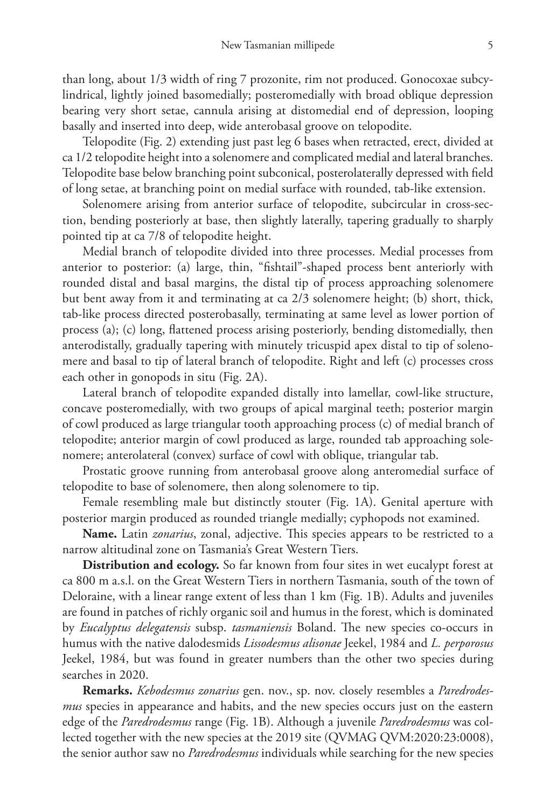than long, about 1/3 width of ring 7 prozonite, rim not produced. Gonocoxae subcylindrical, lightly joined basomedially; posteromedially with broad oblique depression bearing very short setae, cannula arising at distomedial end of depression, looping basally and inserted into deep, wide anterobasal groove on telopodite.

Telopodite (Fig. 2) extending just past leg 6 bases when retracted, erect, divided at ca 1/2 telopodite height into a solenomere and complicated medial and lateral branches. Telopodite base below branching point subconical, posterolaterally depressed with field of long setae, at branching point on medial surface with rounded, tab-like extension.

Solenomere arising from anterior surface of telopodite, subcircular in cross-section, bending posteriorly at base, then slightly laterally, tapering gradually to sharply pointed tip at ca 7/8 of telopodite height.

Medial branch of telopodite divided into three processes. Medial processes from anterior to posterior: (a) large, thin, "fishtail"-shaped process bent anteriorly with rounded distal and basal margins, the distal tip of process approaching solenomere but bent away from it and terminating at ca 2/3 solenomere height; (b) short, thick, tab-like process directed posterobasally, terminating at same level as lower portion of process (a); (c) long, flattened process arising posteriorly, bending distomedially, then anterodistally, gradually tapering with minutely tricuspid apex distal to tip of solenomere and basal to tip of lateral branch of telopodite. Right and left (c) processes cross each other in gonopods in situ (Fig. 2A).

Lateral branch of telopodite expanded distally into lamellar, cowl-like structure, concave posteromedially, with two groups of apical marginal teeth; posterior margin of cowl produced as large triangular tooth approaching process (c) of medial branch of telopodite; anterior margin of cowl produced as large, rounded tab approaching solenomere; anterolateral (convex) surface of cowl with oblique, triangular tab.

Prostatic groove running from anterobasal groove along anteromedial surface of telopodite to base of solenomere, then along solenomere to tip.

Female resembling male but distinctly stouter (Fig. 1A). Genital aperture with posterior margin produced as rounded triangle medially; cyphopods not examined.

**Name.** Latin *zonarius*, zonal, adjective. This species appears to be restricted to a narrow altitudinal zone on Tasmania's Great Western Tiers.

**Distribution and ecology.** So far known from four sites in wet eucalypt forest at ca 800 m a.s.l. on the Great Western Tiers in northern Tasmania, south of the town of Deloraine, with a linear range extent of less than 1 km (Fig. 1B). Adults and juveniles are found in patches of richly organic soil and humus in the forest, which is dominated by *Eucalyptus delegatensis* subsp. *tasmaniensis* Boland. The new species co-occurs in humus with the native dalodesmids *Lissodesmus alisonae* Jeekel, 1984 and *L. perporosus* Jeekel, 1984, but was found in greater numbers than the other two species during searches in 2020.

**Remarks.** *Kebodesmus zonarius* gen. nov., sp. nov. closely resembles a *Paredrodesmus* species in appearance and habits, and the new species occurs just on the eastern edge of the *Paredrodesmus* range (Fig. 1B). Although a juvenile *Paredrodesmus* was collected together with the new species at the 2019 site (QVMAG QVM:2020:23:0008), the senior author saw no *Paredrodesmus* individuals while searching for the new species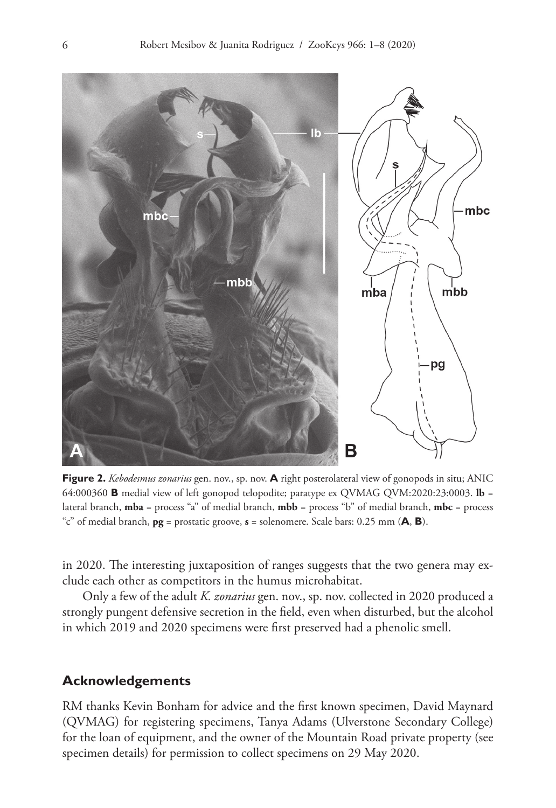

**Figure 2.** *Kebodesmus zonarius* gen. nov., sp. nov. **A** right posterolateral view of gonopods in situ; ANIC 64:000360 **B** medial view of left gonopod telopodite; paratype ex QVMAG QVM:2020:23:0003. **lb** = lateral branch, **mba** = process "a" of medial branch, **mbb** = process "b" of medial branch, **mbc** = process "c" of medial branch, **pg** = prostatic groove, **s** = solenomere. Scale bars: 0.25 mm (**A**, **B**).

in 2020. The interesting juxtaposition of ranges suggests that the two genera may exclude each other as competitors in the humus microhabitat.

Only a few of the adult *K. zonarius* gen. nov., sp. nov. collected in 2020 produced a strongly pungent defensive secretion in the field, even when disturbed, but the alcohol in which 2019 and 2020 specimens were first preserved had a phenolic smell.

# **Acknowledgements**

RM thanks Kevin Bonham for advice and the first known specimen, David Maynard (QVMAG) for registering specimens, Tanya Adams (Ulverstone Secondary College) for the loan of equipment, and the owner of the Mountain Road private property (see specimen details) for permission to collect specimens on 29 May 2020.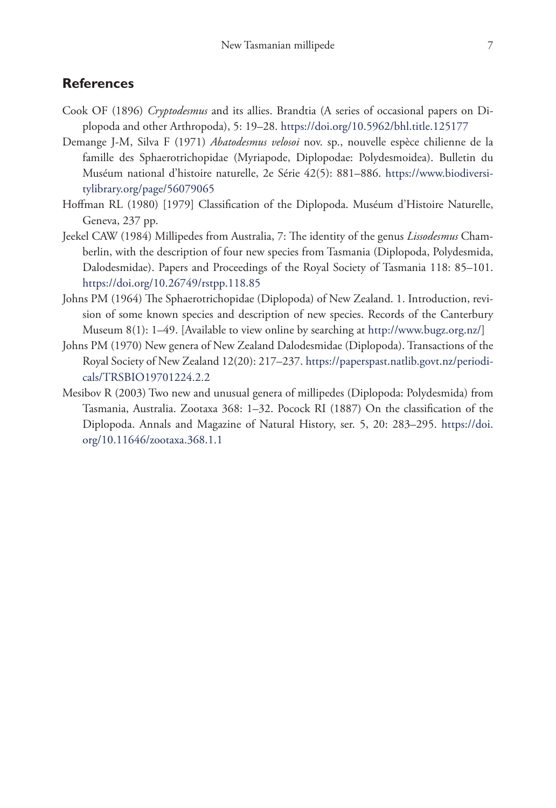# **References**

- Cook OF (1896) *Cryptodesmus* and its allies. Brandtia (A series of occasional papers on Diplopoda and other Arthropoda), 5: 19–28.<https://doi.org/10.5962/bhl.title.125177>
- Demange J-M, Silva F (1971) *Abatodesmus velosoi* nov. sp., nouvelle espèce chilienne de la famille des Sphaerotrichopidae (Myriapode, Diplopodae: Polydesmoidea). Bulletin du Muséum national d'histoire naturelle, 2e Série 42(5): 881–886. [https://www.biodiversi](https://www.biodiversitylibrary.org/page/56079065)[tylibrary.org/page/56079065](https://www.biodiversitylibrary.org/page/56079065)
- Hoffman RL (1980) [1979] Classification of the Diplopoda. Muséum d'Histoire Naturelle, Geneva, 237 pp.
- Jeekel CAW (1984) Millipedes from Australia, 7: The identity of the genus *Lissodesmus* Chamberlin, with the description of four new species from Tasmania (Diplopoda, Polydesmida, Dalodesmidae). Papers and Proceedings of the Royal Society of Tasmania 118: 85–101. <https://doi.org/10.26749/rstpp.118.85>
- Johns PM (1964) The Sphaerotrichopidae (Diplopoda) of New Zealand. 1. Introduction, revision of some known species and description of new species. Records of the Canterbury Museum 8(1): 1–49. [Available to view online by searching at <http://www.bugz.org.nz/>]
- Johns PM (1970) New genera of New Zealand Dalodesmidae (Diplopoda). Transactions of the Royal Society of New Zealand 12(20): 217–237. [https://paperspast.natlib.govt.nz/periodi](https://paperspast.natlib.govt.nz/periodicals/TRSBIO19701224.2.2)[cals/TRSBIO19701224.2.2](https://paperspast.natlib.govt.nz/periodicals/TRSBIO19701224.2.2)
- Mesibov R (2003) Two new and unusual genera of millipedes (Diplopoda: Polydesmida) from Tasmania, Australia. Zootaxa 368: 1–32. Pocock RI (1887) On the classification of the Diplopoda. Annals and Magazine of Natural History, ser. 5, 20: 283–295. [https://doi.](https://doi.org/10.11646/zootaxa.368.1.1) [org/10.11646/zootaxa.368.1.1](https://doi.org/10.11646/zootaxa.368.1.1)